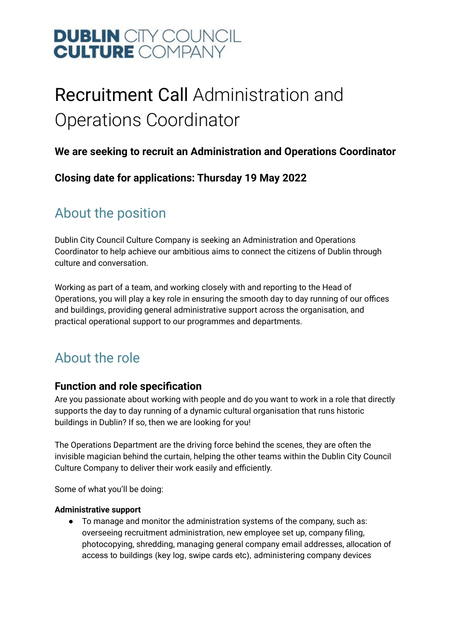### Recruitment Call Administration and Operations Coordinator

#### **We are seeking to recruit an Administration and Operations Coordinator**

**Closing date for applications: Thursday 19 May 2022**

### About the position

Dublin City Council Culture Company is seeking an Administration and Operations Coordinator to help achieve our ambitious aims to connect the citizens of Dublin through culture and conversation.

Working as part of a team, and working closely with and reporting to the Head of Operations, you will play a key role in ensuring the smooth day to day running of our offices and buildings, providing general administrative support across the organisation, and practical operational support to our programmes and departments.

### About the role

#### **Function and role specification**

Are you passionate about working with people and do you want to work in a role that directly supports the day to day running of a dynamic cultural organisation that runs historic buildings in Dublin? If so, then we are looking for you!

The Operations Department are the driving force behind the scenes, they are often the invisible magician behind the curtain, helping the other teams within the Dublin City Council Culture Company to deliver their work easily and efficiently.

Some of what you'll be doing:

#### **Administrative support**

● To manage and monitor the administration systems of the company, such as: overseeing recruitment administration, new employee set up, company filing, photocopying, shredding, managing general company email addresses, allocation of access to buildings (key log, swipe cards etc), administering company devices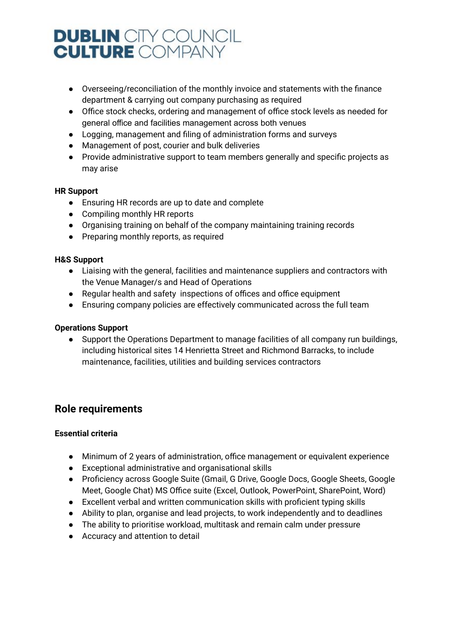- Overseeing/reconciliation of the monthly invoice and statements with the finance department & carrying out company purchasing as required
- Office stock checks, ordering and management of office stock levels as needed for general office and facilities management across both venues
- Logging, management and filing of administration forms and surveys
- Management of post, courier and bulk deliveries
- Provide administrative support to team members generally and specific projects as may arise

#### **HR Support**

- Ensuring HR records are up to date and complete
- Compiling monthly HR reports
- Organising training on behalf of the company maintaining training records
- Preparing monthly reports, as required

#### **H&S Support**

- Liaising with the general, facilities and maintenance suppliers and contractors with the Venue Manager/s and Head of Operations
- Regular health and safety inspections of offices and office equipment
- Ensuring company policies are effectively communicated across the full team

#### **Operations Support**

● Support the Operations Department to manage facilities of all company run buildings, including historical sites 14 Henrietta Street and Richmond Barracks, to include maintenance, facilities, utilities and building services contractors

#### **Role requirements**

#### **Essential criteria**

- Minimum of 2 years of administration, office management or equivalent experience
- Exceptional administrative and organisational skills
- Proficiency across Google Suite (Gmail, G Drive, Google Docs, Google Sheets, Google Meet, Google Chat) MS Office suite (Excel, Outlook, PowerPoint, SharePoint, Word)
- Excellent verbal and written communication skills with proficient typing skills
- Ability to plan, organise and lead projects, to work independently and to deadlines
- The ability to prioritise workload, multitask and remain calm under pressure
- Accuracy and attention to detail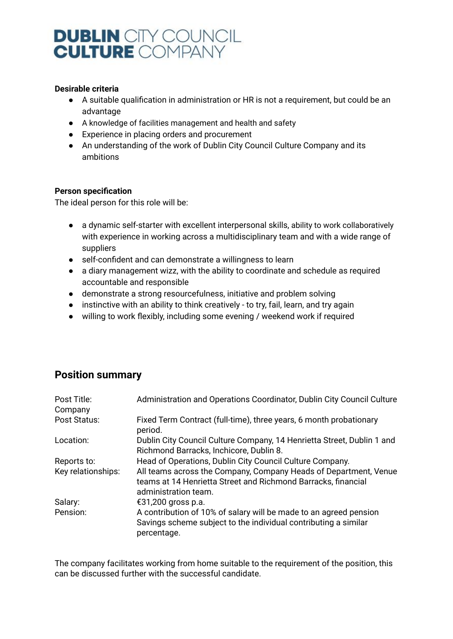#### **Desirable criteria**

- A suitable qualification in administration or HR is not a requirement, but could be an advantage
- A knowledge of facilities management and health and safety
- Experience in placing orders and procurement
- An understanding of the work of Dublin City Council Culture Company and its ambitions

#### **Person specification**

The ideal person for this role will be:

- a dynamic self-starter with excellent interpersonal skills, ability to work collaboratively with experience in working across a multidisciplinary team and with a wide range of suppliers
- self-confident and can demonstrate a willingness to learn
- a diary management wizz, with the ability to coordinate and schedule as required accountable and responsible
- demonstrate a strong resourcefulness, initiative and problem solving
- instinctive with an ability to think creatively to try, fail, learn, and try again
- willing to work flexibly, including some evening / weekend work if required

#### **Position summary**

| Post Title:<br>Company | Administration and Operations Coordinator, Dublin City Council Culture                                                                                    |
|------------------------|-----------------------------------------------------------------------------------------------------------------------------------------------------------|
| Post Status:           | Fixed Term Contract (full-time), three years, 6 month probationary<br>period.                                                                             |
| Location:              | Dublin City Council Culture Company, 14 Henrietta Street, Dublin 1 and<br>Richmond Barracks, Inchicore, Dublin 8.                                         |
| Reports to:            | Head of Operations, Dublin City Council Culture Company.                                                                                                  |
| Key relationships:     | All teams across the Company, Company Heads of Department, Venue<br>teams at 14 Henrietta Street and Richmond Barracks, financial<br>administration team. |
| Salary:                | €31,200 gross p.a.                                                                                                                                        |
| Pension:               | A contribution of 10% of salary will be made to an agreed pension<br>Savings scheme subject to the individual contributing a similar<br>percentage.       |

The company facilitates working from home suitable to the requirement of the position, this can be discussed further with the successful candidate.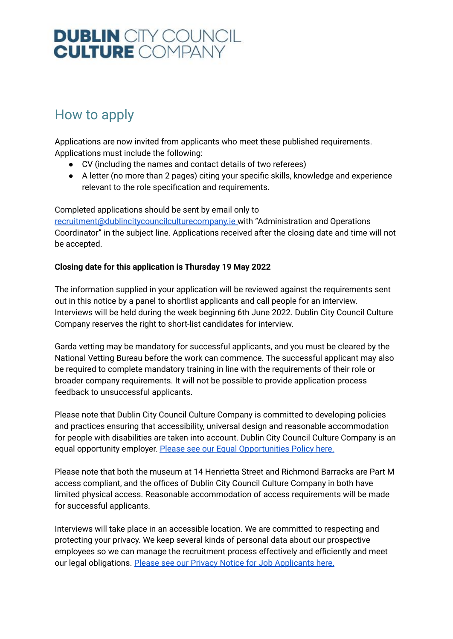### How to apply

Applications are now invited from applicants who meet these published requirements. Applications must include the following:

- CV (including the names and contact details of two referees)
- A letter (no more than 2 pages) citing your specific skills, knowledge and experience relevant to the role specification and requirements.

Completed applications should be sent by email only to [recruitment@dublincitycouncilculturecompany.ie](mailto:recruitment@dublincitycouncilculturecompany.ie) with "Administration and Operations Coordinator" in the subject line. Applications received after the closing date and time will not be accepted.

#### **Closing date for this application is Thursday 19 May 2022**

The information supplied in your application will be reviewed against the requirements sent out in this notice by a panel to shortlist applicants and call people for an interview. Interviews will be held during the week beginning 6th June 2022. Dublin City Council Culture Company reserves the right to short-list candidates for interview.

Garda vetting may be mandatory for successful applicants, and you must be cleared by the National Vetting Bureau before the work can commence. The successful applicant may also be required to complete mandatory training in line with the requirements of their role or broader company requirements. It will not be possible to provide application process feedback to unsuccessful applicants.

Please note that Dublin City Council Culture Company is committed to developing policies and practices ensuring that accessibility, universal design and reasonable accommodation for people with disabilities are taken into account. Dublin City Council Culture Company is an equal opportunity employer. Please see our Equal [Opportunities](https://www.dublincitycouncilculturecompany.ie/content/images/Equal-Opportunities-Policy-2022.pdf) Policy here.

Please note that both the museum at 14 Henrietta Street and Richmond Barracks are Part M access compliant, and the offices of Dublin City Council Culture Company in both have limited physical access. Reasonable accommodation of access requirements will be made for successful applicants.

Interviews will take place in an accessible location. We are committed to respecting and protecting your privacy. We keep several kinds of personal data about our prospective employees so we can manage the recruitment process effectively and efficiently and meet our legal obligations. Please see our Privacy Notice for Job [Applicants](https://www.dublincitycouncilculturecompany.ie/content/images/Privacy-notice-for-job-applicants-April-2022.pdf) here.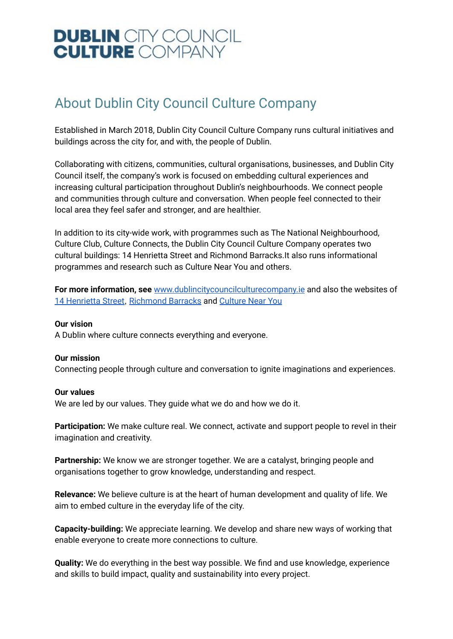### About Dublin City Council Culture Company

Established in March 2018, Dublin City Council Culture Company runs cultural initiatives and buildings across the city for, and with, the people of Dublin.

Collaborating with citizens, communities, cultural organisations, businesses, and Dublin City Council itself, the company's work is focused on embedding cultural experiences and increasing cultural participation throughout Dublin's neighbourhoods. We connect people and communities through culture and conversation. When people feel connected to their local area they feel safer and stronger, and are healthier.

In addition to its city-wide work, with programmes such as The National Neighbourhood, Culture Club, Culture Connects, the Dublin City Council Culture Company operates two cultural buildings: 14 Henrietta Street and Richmond Barracks.It also runs informational programmes and research such as Culture Near You and others.

**For more information, see** [www.dublincitycouncilculturecompany.ie](http://www.dublincitycouncilculturecompany.ie) and also the websites of 14 [Henrietta](https://14henriettastreet.ie/) Street, [Richmond](https://www.richmondbarracks.ie/) Barracks and [Culture](https://www.dublincitycouncilculturecompany.ie/what-we-do/programmes/culture-near-you) Near You

#### **Our vision**

A Dublin where culture connects everything and everyone.

#### **Our mission**

Connecting people through culture and conversation to ignite imaginations and experiences.

#### **Our values**

We are led by our values. They guide what we do and how we do it.

**Participation:** We make culture real. We connect, activate and support people to revel in their imagination and creativity.

**Partnership:** We know we are stronger together. We are a catalyst, bringing people and organisations together to grow knowledge, understanding and respect.

**Relevance:** We believe culture is at the heart of human development and quality of life. We aim to embed culture in the everyday life of the city.

**Capacity-building:** We appreciate learning. We develop and share new ways of working that enable everyone to create more connections to culture.

**Quality:** We do everything in the best way possible. We find and use knowledge, experience and skills to build impact, quality and sustainability into every project.